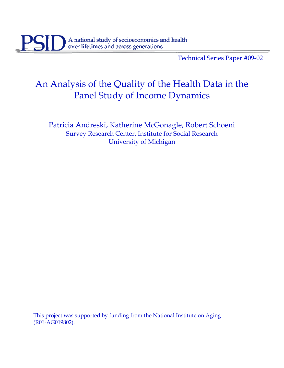Technical Series Paper #09-02

# An Analysis of the Quality of the Health Data in the Panel Study of Income Dynamics

Patricia Andreski, Katherine McGonagle, Robert Schoeni Survey Research Center, Institute for Social Research University of Michigan

This project was supported by funding from the National Institute on Aging (R01-AG019802).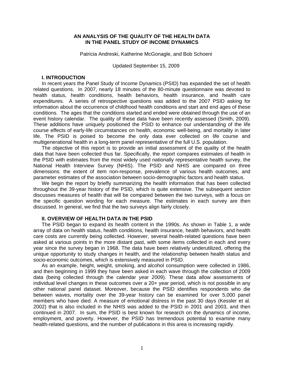#### **AN ANALYSIS OF THE QUALITY OF THE HEALTH DATA IN THE PANEL STUDY OF INCOME DYNAMICS**

Patricia Andreski, Katherine McGonagle, and Bob Schoeni

Updated September 15, 2009

#### **I. INTRODUCTION**

In recent years the Panel Study of Income Dynamics (PSID) has expanded the set of health related questions. In 2007, nearly 18 minutes of the 80-minute questionnaire was devoted to health status, health conditions, health behaviors, health insurance, and health care expenditures. A series of retrospective questions was added to the 2007 PSID asking for information about the occurrence of childhood health conditions and start and end ages of these conditions. The ages that the conditions started and ended were obtained through the use of an event history calendar. The quality of these data have been recently assessed (Smith, 2009). These additions have uniquely positioned the PSID to enhance our understanding of the life course effects of early-life circumstances on health, economic well-being, and mortality in later life. The PSID is poised to become the only data ever collected on life course and multigenerational health in a long-term panel representative of the full U.S. population.

The objective of this report is to provide an initial assessment of the quality of the health data that have been collected thus far. Specifically, the report compares estimates of health in the PSID with estimates from the most widely used nationally representative health survey, the National Health Interview Survey (NHIS). The PSID and NHIS are compared on three dimensions: the extent of item non-response, prevalence of various health outcomes, and parameter estimates of the association between socio-demographic factors and health status.

We begin the report by briefly summarizing the health information that has been collected throughout the 39-year history of the PSID, which is quite extensive. The subsequent section discusses measures of health that will be compared between the two surveys, with a focus on the specific question wording for each measure. The estimates in each survey are then discussed. In general, we find that the two surveys align fairly closely.

#### **II. OVERVIEW OF HEALTH DATA IN THE PSID**

The PSID began to expand its health content in the 1990s. As shown in Table 1, a wide array of data on health status, health conditions, health insurance, health behaviors, and health care costs are currently being collected. However, several health-related questions have been asked at various points in the more distant past, with some items collected in each and every year since the survey began in 1968. The data have been relatively underutilized, offering the unique opportunity to study changes in health, and the relationship between health status and socio-economic outcomes, which is extensively measured in PSID.

As an example, height, weight, smoking, and alcohol consumption were collected in 1986, and then beginning in 1999 they have been asked in each wave through the collection of 2009 data (being collected through the calendar year 2009). These data allow assessments of individual level changes in these outcomes over a 20+ year period, which is not possible in any other national panel dataset. Moreover, because the PSID identifies respondents who die between waves, mortality over the 39-year history can be examined for over 5,000 panel members who have died. A measure of emotional distress in the past 30 days (Kessler et al. 2002) that is also included in the NHIS was added to the PSID in 2001 and 2003, and then continued in 2007. In sum, the PSID is best known for research on the dynamics of income, employment, and poverty. However, the PSID has tremendous potential to examine many health-related questions, and the number of publications in this area is increasing rapidly.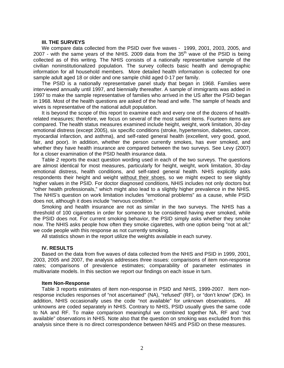#### **III. THE SURVEYS**

We compare data collected from the PSID over five waves - 1999, 2001, 2003, 2005, and 2007 - with the same years of the NHIS. 2009 data from the  $35<sup>th</sup>$  wave of the PSID is being collected as of this writing. The NHIS consists of a nationally representative sample of the civilian noninstitutionalized population. The survey collects basic health and demographic information for all household members. More detailed health information is collected for one sample adult aged 18 or older and one sample child aged 0-17 per family.

The PSID is a nationally representative panel study that began in 1968. Families were interviewed annually until 1997, and biennially thereafter. A sample of immigrants was added in 1997 to make the sample representative of families who arrived in the US after the PSID began in 1968. Most of the health questions are asked of the head and wife. The sample of heads and wives is representative of the national adult population.

It is beyond the scope of this report to examine each and every one of the dozens of healthrelated measures; therefore, we focus on several of the most salient items. Fourteen items are compared. The health status measures examined include height, weight, work limitation, 30-day emotional distress (except 2005), six specific conditions (stroke, hypertension, diabetes, cancer, myocardial infarction, and asthma), and self-rated general health (excellent, very good, good, fair, and poor). In addition, whether the person currently smokes, has ever smoked, and whether they have health insurance are compared between the two surveys. See Levy (2007) for a closer examination of the PSID health insurance data.

Table 2 reports the exact question wording used in each of the two surveys. The questions are almost identical for most measures, particularly for height, weight, work limitation, 30-day emotional distress, health conditions, and self-rated general health. NHIS explicitly asks respondents their height and weight without their shoes, so we might expect to see slightly higher values in the PSID. For doctor diagnosed conditions, NHIS includes not only doctors but "other health professionals," which might also lead to a slightly higher prevalence in the NHIS. The NHIS's question on work limitation includes "emotional problems" as a cause, while PSID does not, although it does include "nervous condition."

Smoking and health insurance are not as similar in the two surveys. The NHIS has a threshold of 100 cigarettes in order for someone to be considered having ever smoked, while the PSID does not. For current smoking behavior, the PSID simply asks whether they smoke now. The NHIS asks people how often they smoke cigarettes, with one option being "not at all;" we code people with this response as not currently smoking.

All statistics shown in the report utilize the weights available in each survey.

#### **IV. RESULTS**

Based on the data from five waves of data collected from the NHIS and PSID in 1999, 2001, 2003, 2005 and 2007, the analysis addresses three issues: comparisons of item non-response rates; comparisons of prevalence estimates; comparability of parameter estimates in multivariate models. In this section we report our findings on each issue in turn.

#### **Item Non-Response**

Table 3 reports estimates of item non-response in PSID and NHIS, 1999-2007. Item nonresponse includes responses of "not ascertained" (NA), "refused" (RF), or "don't know" (DK). In addition, NHIS occasionally uses the code "not available" for unknown observations. All unknowns are coded separately in NHIS. Contrary to NHIS, PSID usually gives the same code to NA and RF. To make comparison meaningful we combined together NA, RF and "not available" observations in NHIS. Note also that the question on smoking was excluded from this analysis since there is no direct correspondence between NHIS and PSID on these measures.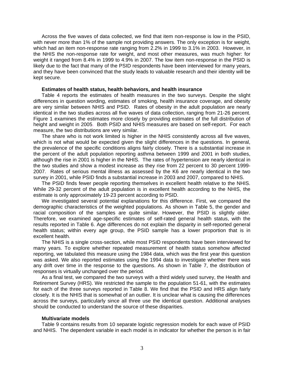Across the five waves of data collected, we find that item non-response is low in the PSID, with never more than 1% of the sample not providing answers. The only exception is for weight, which had an item non-response rate ranging from 2.2% in 1999 to 3.1% in 2003. However, in the NHIS the non-response rate for weight, and most other measures, was much higher: for weight it ranged from 8.4% in 1999 to 4.9% in 2007. The low item non-response in the PSID is likely due to the fact that many of the PSID respondents have been interviewed for many years, and they have been convinced that the study leads to valuable research and their identity will be kept secure.

#### **Estimates of health status, health behaviors, and health insurance**

Table 4 reports the estimates of health measures in the two surveys. Despite the slight differences in question wording, estimates of smoking, health insurance coverage, and obesity are very similar between NHIS and PSID. Rates of obesity in the adult population are nearly identical in the two studies across all five waves of data collection, ranging from 21-26 percent. Figure 1 examines the estimates more closely by providing estimates of the full distribution of height and weight in 2005. Both PSID and NHIS measures are based on self-report. For each measure, the two distributions are very similar.

The share who is not work limited is higher in the NHIS consistently across all five waves, which is not what would be expected given the slight differences in the questions. In general, the prevalence of the specific conditions aligns fairly closely. There is a substantial increase in the percent of the adult population reporting asthma between 1999 and 2001 in both studies, although the rise in 2001 is higher in the NHIS. The rates of hypertension are nearly identical in the two studies and show a modest increase as they rise from 22 percent to 30 percent 1999- 2007. Rates of serious mental illness as assessed by the K6 are nearly identical in the two survey in 2001, while PSID finds a substantial increase in 2003 and 2007, compared to NHIS.

The PSID finds fewer people reporting themselves in excellent health relative to the NHIS. While 29-32 percent of the adult population is in excellent health according to the NHIS, the estimate is only approximately 19-23 percent according to PSID.

We investigated several potential explanations for this difference. First, we compared the demographic characteristics of the weighted populations. As shown in Table 5, the gender and racial composition of the samples are quite similar. However, the PSID is slightly older. Therefore, we examined age-specific estimates of self-rated general health status, with the results reported in Table 6. Age differences do not explain the disparity in self-reported general health status; within every age group, the PSID sample has a lower proportion that is in excellent health.

The NHIS is a single cross-section, while most PSID respondents have been interviewed for many years. To explore whether repeated measurement of health status somehow affected reporting, we tabulated this measure using the 1984 data, which was the first year this question was asked. We also reported estimates using the 1994 data to investigate whether there was any drift over time in the response to the questions. As shown in Table 7, the distribution of responses is virtually unchanged over the period.

As a final test, we compared the two surveys with a third widely used survey, the Health and Retirement Survey (HRS). We restricted the sample to the population 51-61, with the estimates for each of the three surveys reported in Table 8. We find that the PSID and HRS align fairly closely. It is the NHIS that is somewhat of an outlier. It is unclear what is causing the differences across the surveys, particularly since all three use the identical question. Additional analyses should be conducted to understand the source of these disparities.

#### **Multivariate models**

Table 9 contains results from 10 separate logistic regression models for each wave of PSID and NHIS. The dependent variable in each model is in indicator for whether the person is in fair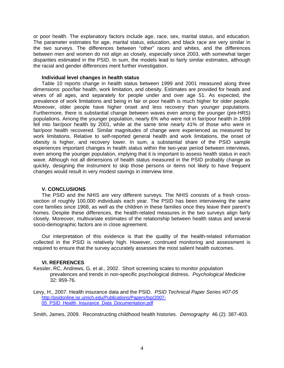or poor health. The explanatory factors include age, race, sex, marital status, and education. The parameter estimates for age, marital status, education, and black race are very similar in the two surveys. The differences between "other" races and whites, and the differences between men and women do not align as closely, especially since 2003, with somewhat larger disparities estimated in the PSID. In sum, the models lead to fairly similar estimates, although the racial and gender differences merit further investigation.

#### **Individual level changes in health status**

Table 10 reports change in health status between 1999 and 2001 measured along three dimensions: poor/fair health, work limitation, and obesity. Estimates are provided for heads and wives of all ages, and separately for people under and over age 51. As expected, the prevalence of work limitations and being in fair or poor health is much higher for older people. Moreover, older people have higher onset and less recovery than younger populations. Furthermore, there is substantial change between waves even among the younger (pre-HRS) populations. Among the younger population, nearly 6% who were not in fair/poor health in 1999 fell into fair/poor health by 2001, while at the same time nearly 41% of those who were in fair/poor health recovered. Similar magnitudes of change were experienced as measured by work limitations. Relative to self-reported general health and work limitations, the onset of obesity is higher, and recovery lower. In sum, a substantial share of the PSID sample experiences important changes in health status within the two-year period between interviews, even among the younger population, implying that it is important to assess health status in each wave. Although not all dimensions of health status measured in the PSID probably change as quickly, designing the instrument to skip those persons or items not likely to have frequent changes would result in very modest savings in interview time.

#### **V. CONCLUSIONS**

The PSID and the NHIS are very different surveys. The NHIS consists of a fresh crosssection of roughly 100,000 individuals each year. The PSID has been interviewing the same core families since 1968, as well as the children in these families once they leave their parent's homes. Despite these differences, the health-related measures in the two surveys align fairly closely. Moreover, multivariate estimates of the relationship between health status and several socio-demographic factors are in close agreement.

Our interpretation of this evidence is that the quality of the health-related information collected in the PSID is relatively high. However, continued monitoring and assessment is required to ensure that the survey accurately assesses the most salient health outcomes.

#### **VI. REFERENCES**

- Kessler, RC, Andrews, G, et al., 2002. Short screening scales to monitor population prevalences and trends in non-specific psychological distress. *Psychological Medicine* 32: 959-76.
- Levy, H., 2007. Health insurance data and the PSID. *PSID Technical Paper Series #07-05* http://psidonline.isr.umich.edu/Publications/Papers/tsp/2007-05\_PSID\_Health\_Insurance\_Data\_Documentation.pdf

Smith, James, 2009. Reconstructing childhood health histories. *Demography* 46 (2): 387-403.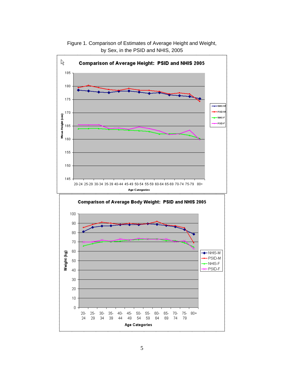

Figure 1. Comparison of Estimates of Average Height and Weight, by Sex, in the PSID and NHIS, 2005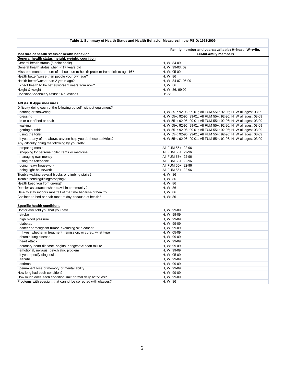| Table 1. Summary of Health Status and Health Behavior Measures in the PSID: 1968-2009 |                                                                                 |
|---------------------------------------------------------------------------------------|---------------------------------------------------------------------------------|
| Measure of health status or health behavior                                           | Family member and years available: H=head, W=wife,<br><b>FUM=Family members</b> |
| General health status, height, weight, cognition                                      |                                                                                 |
| General health status (5-point scale)                                                 | H, W: 84-09                                                                     |
| General health status when < 17 years old                                             | H, W: 99-03, 09                                                                 |
| Miss one month or more of school due to health problem from birth to age 16?          | H, W: 05-09                                                                     |
| Health better/worse than people your own age?                                         | H, W: 86                                                                        |
| Health better/worse than 2 years ago?                                                 | H, W: 84-87, 05-09                                                              |
| Expect health to be better/worse 2 years from now?                                    | H, W: 86                                                                        |
| Height & weight                                                                       | H, W: 86, 99-09                                                                 |
| Cognition/vocabulary tests: 14 questions                                              | H: 72                                                                           |
|                                                                                       |                                                                                 |
| <b>ADL/IADL-type measures</b>                                                         |                                                                                 |
| Difficulty doing each of the following by self, without equipment?                    |                                                                                 |
| bathing or showering                                                                  | H, W 55+: 92-96, 99-01; All FUM 55+: 92-96; H, W all ages: 03-09                |
| dressing                                                                              | H, W 55+: 92-96, 99-01; All FUM 55+: 92-96; H, W all ages: 03-09                |
| in or out of bed or chair                                                             | H, W 55+: 92-96, 99-01; All FUM 55+: 92-96; H, W all ages: 03-09                |
| walking                                                                               | H, W 55+: 92-96, 99-01; All FUM 55+: 92-96; H, W all ages: 03-09                |
| getting outside                                                                       | H, W 55+: 92-96, 99-01; All FUM 55+: 92-96; H, W all ages: 03-09                |
| using the toilet                                                                      | H, W 55+: 92-96, 99-01; All FUM 55+: 92-96; H, W all ages: 03-09                |
| if yes to any of the above, anyone help you do these activities?                      | H, W 55+: 92-96, 99-01; All FUM 55+: 92-96; H, W all ages: 03-09                |
| Any difficulty doing the following by yourself?                                       |                                                                                 |
| preparing meals                                                                       | All FUM 55+: 92-96                                                              |
| shopping for personal toilet items or medicine                                        | All FUM 55+: 92-96                                                              |
| managing own money                                                                    | All FUM 55+: 92-96                                                              |
| using the telephone                                                                   | All FUM 55+: 92-96                                                              |
| doing heavy housework                                                                 | All FUM 55+: 92-96                                                              |
| doing light housework                                                                 | All FUM 55+: 92-96                                                              |
| Trouble walking several blocks or climbing stairs?                                    | H, W: 86                                                                        |
| Trouble bending/lifting/stooping?                                                     | H, W: 86                                                                        |
| Health keep you from driving?                                                         | H, W: 86                                                                        |
| Receive assistance when travel in community?                                          | H, W: 86                                                                        |
| Have to stay indoors most/all of the time because of health?                          | H, W: 86                                                                        |
| Confined to bed or chair most of day because of health?                               | H, W: 86                                                                        |
|                                                                                       |                                                                                 |
| <b>Specific health conditions</b>                                                     |                                                                                 |
| Doctor ever told you that you have                                                    | H, W: 99-09                                                                     |
| stroke                                                                                | H, W: 99-09                                                                     |
| high blood pressure                                                                   | H, W: 99-09                                                                     |
| diabetes                                                                              | H, W: 99-09                                                                     |
| cancer or malignant tumor, excluding skin cancer                                      | H, W: 99-09                                                                     |
| if yes, whether in treatment, remission, or cured; what type                          | H, W: 05-09                                                                     |
| chronic lung disease                                                                  | H, W: 99-09                                                                     |
| heart attack                                                                          | H, W: 99-09                                                                     |
| coronary heart disease, angina, congestive heart failure                              | H. W: 99-09                                                                     |
| emotional, nervous, psychiatric problem                                               | H, W: 99-09                                                                     |
| if yes, specify diagnosis                                                             | H, W: 05-09                                                                     |
| arthritis                                                                             | H, W: 99-09                                                                     |
| asthma                                                                                | H, W: 99-09                                                                     |
| permanent loss of memory or mental ability                                            | H, W: 99-09                                                                     |
| How long had each condition?                                                          | H, W: 99-09                                                                     |
| How much does each condition limit normal daily activities?                           | H, W: 99-09                                                                     |
| Problems with eyesight that cannot be corrected with glasses?                         | H, W: 86                                                                        |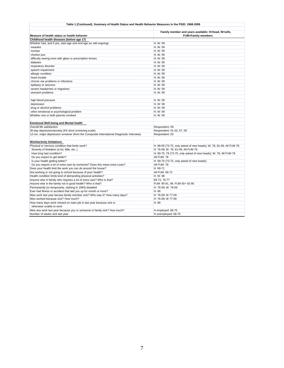| Table 1 (Continued). Summary of Health Status and Health Behavior Measures in the PSID: 1968-2009 |                                                                                 |  |  |  |  |  |  |  |  |
|---------------------------------------------------------------------------------------------------|---------------------------------------------------------------------------------|--|--|--|--|--|--|--|--|
|                                                                                                   |                                                                                 |  |  |  |  |  |  |  |  |
| Measure of health status or health behavior                                                       | Family member and years available: H=head, W=wife,<br><b>FUM=Family members</b> |  |  |  |  |  |  |  |  |
| Childhood health diseases (before age 17)                                                         |                                                                                 |  |  |  |  |  |  |  |  |
| Whether had, and if yes, start age and end age (or still ongoing):                                | H, W: 09                                                                        |  |  |  |  |  |  |  |  |
| measles                                                                                           | H, W: 09                                                                        |  |  |  |  |  |  |  |  |
| mumps                                                                                             | H, W: 09                                                                        |  |  |  |  |  |  |  |  |
| chicken pox                                                                                       | H. W: 09                                                                        |  |  |  |  |  |  |  |  |
| difficulty seeing even with glass or prescription lenses                                          | H, W: 09                                                                        |  |  |  |  |  |  |  |  |
| diabetes                                                                                          | H, W: 09                                                                        |  |  |  |  |  |  |  |  |
| respiratory disorder                                                                              | H, W: 09                                                                        |  |  |  |  |  |  |  |  |
| speech impairment                                                                                 | H, W: 09                                                                        |  |  |  |  |  |  |  |  |
| allergic condition                                                                                | H, W: 09                                                                        |  |  |  |  |  |  |  |  |
| heart trouble                                                                                     | H. W: 09                                                                        |  |  |  |  |  |  |  |  |
| chronic ear problems or infections                                                                | H, W: 09                                                                        |  |  |  |  |  |  |  |  |
| epilepsy or seizures                                                                              | H, W: 09                                                                        |  |  |  |  |  |  |  |  |
| severe headaches or migraines                                                                     | H, W: 09                                                                        |  |  |  |  |  |  |  |  |
| stomach problems                                                                                  | H, W: 09                                                                        |  |  |  |  |  |  |  |  |
| high blood pressure                                                                               | H, W: 09                                                                        |  |  |  |  |  |  |  |  |
| depression                                                                                        | H, W: 09                                                                        |  |  |  |  |  |  |  |  |
| drug or alcohol problems                                                                          | H. W: 09                                                                        |  |  |  |  |  |  |  |  |
| other emotional or psychological problem                                                          | H, W: 09                                                                        |  |  |  |  |  |  |  |  |
| Whether one or both parents smoked                                                                | H, W: 09                                                                        |  |  |  |  |  |  |  |  |
| <b>Emotional Well-being and Mental health</b>                                                     |                                                                                 |  |  |  |  |  |  |  |  |
| Overall life satisfaction                                                                         | Respondent: 09                                                                  |  |  |  |  |  |  |  |  |
| 30-day depression/anxiety (K6 short screening scale)                                              | Respondent: 01-03, 07, 09                                                       |  |  |  |  |  |  |  |  |
| 12-mo. major depression screener (from the Composite International Diagnostic Interview)          | Respondent: 03                                                                  |  |  |  |  |  |  |  |  |
|                                                                                                   |                                                                                 |  |  |  |  |  |  |  |  |
| <b>Work/activity limitations</b>                                                                  |                                                                                 |  |  |  |  |  |  |  |  |
| Physical or nervous condition that limits work?                                                   | H: 68-09 (73-75, only asked of new heads); W: 78, 81-09; All FUM 78             |  |  |  |  |  |  |  |  |
| Severity of limitation (a lot, little, etc)                                                       | H: 76-09; W: 78, 81-09; All FUM 78                                              |  |  |  |  |  |  |  |  |
| How long had condition?                                                                           | H: 69-75, 78 (73-75, only asked of new heads); W: 78; All FUM 78                |  |  |  |  |  |  |  |  |
| Do you expect to get better?                                                                      | All FUM: 78                                                                     |  |  |  |  |  |  |  |  |
| Is your health getting better?                                                                    | H: 69-75 (73-75, only asked of new heads)                                       |  |  |  |  |  |  |  |  |
| Do you require a lot of extra care by someone? Does this mean extra costs?                        | All FUM: 78                                                                     |  |  |  |  |  |  |  |  |
| Does your health limit the work you can do around the house?                                      | H: 69-71                                                                        |  |  |  |  |  |  |  |  |
| Not working or not going to school because of poor health?                                        | All FUM: 69-72                                                                  |  |  |  |  |  |  |  |  |
| Health condition limits kind of demanding physical activities?                                    | H, W: 86                                                                        |  |  |  |  |  |  |  |  |
| Anyone else in family who requires a lot of extra care? Who is that?                              | 69-72, 76-77                                                                    |  |  |  |  |  |  |  |  |
| Anyone else in the family not in good health? Who is that?                                        | FUM: 90-91, 96; FUM 55+ 92-95                                                   |  |  |  |  |  |  |  |  |
| Permanently (or temporarily, starting in 1993) disabled                                           | H: 76-09; W: 79-09                                                              |  |  |  |  |  |  |  |  |
| Ever had illness or accident that laid you up for month or more?                                  | H: 68                                                                           |  |  |  |  |  |  |  |  |
| Miss work last year becase family member sick? Who was it? How many days?                         | H: 76-09; W 77-09                                                               |  |  |  |  |  |  |  |  |
| Miss worked because sick? How much?                                                               | H: 76-09; W 77-09                                                               |  |  |  |  |  |  |  |  |
| How many days work missed on main job in last year because sick or                                | H: 68                                                                           |  |  |  |  |  |  |  |  |
| otherwise unable to work                                                                          |                                                                                 |  |  |  |  |  |  |  |  |
| Miss any work last year because you or someone in family sick? How much?                          | H employed: 68-75                                                               |  |  |  |  |  |  |  |  |
| Number of weeks sick last year                                                                    | H unemployed: 68-75                                                             |  |  |  |  |  |  |  |  |

 $\Gamma$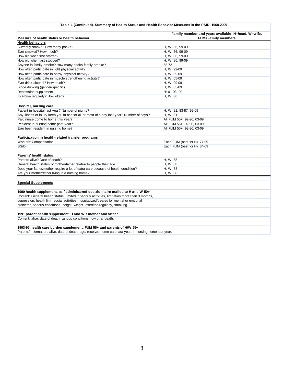#### **Table 1 (Continued). Summary of Health Status and Health Behavior Measures in the PSID: 1968-2009**

| Measure of health status or health behavior                                                             | Family member and years available: H=head, W=wife,<br><b>FUM=Family members</b> |
|---------------------------------------------------------------------------------------------------------|---------------------------------------------------------------------------------|
| <b>Health behaviors</b>                                                                                 |                                                                                 |
| Currently smoke? How many packs?                                                                        | H, W: 86, 99-09                                                                 |
| Ever smoked? How much?                                                                                  | H, W: 86, 99-09                                                                 |
| How old when first started?                                                                             | H, W: 86, 99-09                                                                 |
| How old when last stopped?                                                                              | H, W: 86, 99-09                                                                 |
| Anyone in family smoke? How many packs family smoke?                                                    | 68-72                                                                           |
| How often participate in light physcial activity                                                        | H, W: 99-09                                                                     |
| How often participate in heavy physical activity?                                                       | H, W: 99-09                                                                     |
| How often participate in muscle strengthening activity?                                                 | H, W: 05-09                                                                     |
| Ever drink alcohol? How much?                                                                           | H, W: 99-09                                                                     |
| Binge drinking (gender-specific)                                                                        | H, W: 05-09                                                                     |
| Depression supplement                                                                                   | H: 01-03, 09                                                                    |
| Exercise regularly? How often?                                                                          | H, W: 86                                                                        |
| Hospital, nursing care                                                                                  |                                                                                 |
| Patient in hospital last year? Number of nights?                                                        | H, W: 81, 83-87, 99-09                                                          |
| Any illness or injury keep you in bed for all or most of a day last year? Number of days?               | H, W: 81                                                                        |
| Paid nurse come to home this year?                                                                      | All FUM 55+: 92-96, 03-09                                                       |
| Resident in nursing home past year?                                                                     | All FUM 55+: 92-96, 03-09                                                       |
| Ever been resident in nursing home?                                                                     | All FUM 55+: 92-96, 03-09                                                       |
| Participation in health-related transfer programs                                                       |                                                                                 |
| <b>Workers' Compensation</b>                                                                            | Each FUM (best for H): 77-09                                                    |
| SS/DI                                                                                                   | Each FUM (best for H): 84-09                                                    |
| Parents' health status                                                                                  |                                                                                 |
| Parents alive? Date of death?                                                                           | H, W: 88                                                                        |
| General health status of mother/father relative to people their age                                     | H, W: 88                                                                        |
| Does your father/mother require a lot of extra care because of health condition?                        | H, W: 88                                                                        |
| Are your mother/father living in a nursing home?                                                        | H, W: 88                                                                        |
| <b>Special Supplements</b>                                                                              |                                                                                 |
| 1990 health supplement, self-administered questionnaire mailed to H and W 50+                           |                                                                                 |
| Content: General health status, limited in various activities, limitation more than 3 months,           |                                                                                 |
| depression, health limit social activities, hospitalized/treated for mental or emtional                 |                                                                                 |
| problems, various conditions, height, weight, exercise regularly, smoking.                              |                                                                                 |
| 1991 parent health supplement; H and W's mother and father                                              |                                                                                 |
| Content: alive, date of death, various conditions now or at death.                                      |                                                                                 |
| 1993-95 health care burden supplement; FUM 55+ and parents of H/W 55+                                   |                                                                                 |
| Berente' information: alive data of dooth, ago, resolved home earn lost vear, in pureing home lost vear |                                                                                 |

Parents' information: alive, date of death, age, received home-care last year, in nursing home last year.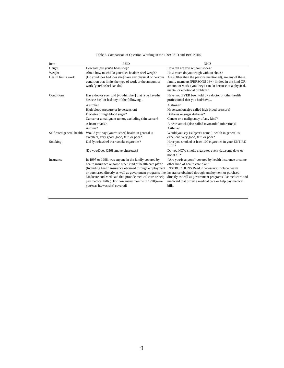| Table 2. Comparison of Question Wording in the 1999 PSID and 1999 NHIS |  |  |
|------------------------------------------------------------------------|--|--|
|                                                                        |  |  |

| Item                      | <b>PSID</b>                                                                                                                                                                                                                                                                                                                                                                                 | <b>NHIS</b>                                                                                                                                                                                                                                                                                                                         |
|---------------------------|---------------------------------------------------------------------------------------------------------------------------------------------------------------------------------------------------------------------------------------------------------------------------------------------------------------------------------------------------------------------------------------------|-------------------------------------------------------------------------------------------------------------------------------------------------------------------------------------------------------------------------------------------------------------------------------------------------------------------------------------|
| Height                    | How tall [are you/is he/is she]?                                                                                                                                                                                                                                                                                                                                                            | How tall are you without shoes?                                                                                                                                                                                                                                                                                                     |
| Weight                    | About how much [do you/does he/does she] weigh?                                                                                                                                                                                                                                                                                                                                             | How much do you weigh without shoes?                                                                                                                                                                                                                                                                                                |
| Health limits work        | [Do you/Does he/Does she] have any physical or nervous<br>condition that limits the type of work or the amount of<br>work [you/he/she] can do?                                                                                                                                                                                                                                              | Are/(Other than the persons mentioned), are any of these<br>family members {PERSONS 18+} limited in the kind OR<br>amount of work {you/they} can do because of a physical,<br>mental or emotional problem?                                                                                                                          |
| Conditions                | Has a doctor ever told [you/him/her] that [you have/he<br>has/she has] or had any of the following                                                                                                                                                                                                                                                                                          | Have you EVER been told by a doctor or other health<br>professional that you had/have                                                                                                                                                                                                                                               |
|                           | A stroke?                                                                                                                                                                                                                                                                                                                                                                                   | A stroke?                                                                                                                                                                                                                                                                                                                           |
|                           | High blood pressure or hypertension?                                                                                                                                                                                                                                                                                                                                                        | Hypertension, also called high blood pressure?                                                                                                                                                                                                                                                                                      |
|                           | Diabetes or high blood sugar?                                                                                                                                                                                                                                                                                                                                                               | Diabetes or sugar diabetes?                                                                                                                                                                                                                                                                                                         |
|                           | Cancer or a malignant tumor, excluding skin cancer?                                                                                                                                                                                                                                                                                                                                         | Cancer or a malignancy of any kind?                                                                                                                                                                                                                                                                                                 |
|                           | A heart attack?                                                                                                                                                                                                                                                                                                                                                                             | A heart attack (also called myocardial infarction)?                                                                                                                                                                                                                                                                                 |
|                           | Asthma?                                                                                                                                                                                                                                                                                                                                                                                     | Asthma?                                                                                                                                                                                                                                                                                                                             |
| Self-rated general health | Would you say [your/his/her] health in general is<br>excellent, very good, good, fair, or poor?                                                                                                                                                                                                                                                                                             | Would you say {subject's name } health in general is<br>excellent, very good, fair, or poor?                                                                                                                                                                                                                                        |
| Smoking                   | Did [you/he/she] ever smoke cigarettes?                                                                                                                                                                                                                                                                                                                                                     | Have you smoked at least 100 cigarettes in your ENTIRE<br>LIFE?                                                                                                                                                                                                                                                                     |
|                           | [Do you/Does Q56] smoke cigarettes?                                                                                                                                                                                                                                                                                                                                                         | Do you NOW smoke cigarettes every day, some days or<br>not at all?                                                                                                                                                                                                                                                                  |
| Insurance                 | In 1997 or 1998, was anyone in the family covered by<br>health insurance or some other kind of health care plan?<br>(Including health insurance obtained through employment<br>or purchased directly as well as government programs like<br>Medicare and Medicaid that provide medical care or help<br>pay medical bills.) For how many months in 1998 were<br>you/was he/was she] covered? | {Are you/Is anyone} covered by health insurance or some<br>other kind of health care plan?<br>INSTRUCTIONS: Read if necessary: include health<br>insurance obtained through employment or purchsed<br>directly as well as government programs like medicare and<br>medicaid that provide medical care or help pay medical<br>bills. |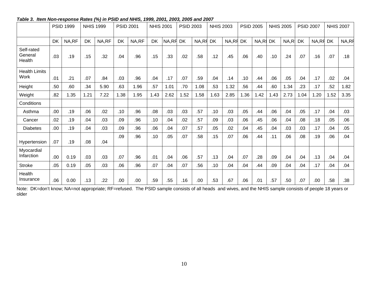|                                 |           | <b>PSID 1999</b> |           | <b>NHIS 1999</b> | <b>PSID 2001</b> |       | <b>NHIS 2001</b> |       | <b>PSID 2003</b> |       | <b>NHIS 2003</b> |       | <b>PSID 2005</b> |      | <b>NHIS 2005</b> |      | <b>PSID 2007</b> |       |           | <b>NHIS 2007</b> |
|---------------------------------|-----------|------------------|-----------|------------------|------------------|-------|------------------|-------|------------------|-------|------------------|-------|------------------|------|------------------|------|------------------|-------|-----------|------------------|
|                                 | <b>DK</b> | NA,RF            | <b>DK</b> | NA,RF            | <b>DK</b>        | NA,RF | <b>DK</b>        | NA,RF | <b>DK</b>        | NA,RF | DK               | NA,RF | <b>DK</b>        | NA,R | <b>DK</b>        | NA,R | <b>DK</b>        | NA,RF | <b>DK</b> | NA,RF            |
| Self-rated<br>General<br>Health | .03       | .19              | .15       | .32              | .04              | .96   | .15              | .33   | .02              | .58   | .12              | .45   | .06              | .40  | .10              | .24  | .07              | .16   | .07       | .18              |
| <b>Health Limits</b><br>Work    | .01       | .21              | .07       | .84              | .03              | .96   | .04              | .17   | .07              | .59   | .04              | .14   | .10              | .44  | .06              | .05  | .04              | .17   | .02       | .04              |
| Height                          | .50       | .60              | .34       | 5.90             | .63              | 1.96  | .57              | 1.01  | .70              | 1.08  | .53              | 1.32  | .56              | .44  | .60              | 1.34 | .23              | .17   | .52       | 1.82             |
| Weight                          | .82       | 1.35             | 1.21      | 7.22             | 1.38             | 1.95  | 1.43             | 2.62  | 1.52             | 1.58  | 1.63             | 2.85  | 1.36             | 1.42 | 1.43             | 2.73 | 1.04             | 1.20  | 1.52      | 3.35             |
| Conditions                      |           |                  |           |                  |                  |       |                  |       |                  |       |                  |       |                  |      |                  |      |                  |       |           |                  |
| Asthma                          | .00.      | .19              | .06       | .02              | .10              | .96   | .08              | .03   | .03              | .57   | .10              | .03   | .05              | .44  | .06              | .04  | .05              | .17   | .04       | .03              |
| Cancer                          | .02       | .19              | .04       | .03              | .09              | .96   | .10              | .04   | .02              | .57   | .09              | .03   | .06              | .45  | .06              | .04  | .08              | .18   | .05       | .06              |
| <b>Diabetes</b>                 | .00       | .19              | .04       | .03              | .09              | .96   | .06              | .04   | .07              | .57   | .05              | .02   | .04              | .45  | .04              | .03  | .03              | .17   | .04       | .05              |
| Hypertension                    | .07       | .19              | .08       | .04              | .09              | .96   | .10              | .05   | .07              | .58   | .15              | .07   | .06              | .44  | .11              | .06  | .08              | .19   | .06       | .04              |
| Myocardial<br>Infarction        | .00       | 0.19             | .03       | .03              | .07              | .96   | .01              | .04   | .06              | .57   | .13              | .04   | .07              | .28  | .09              | .04  | .04              | .13   | .04       | .04              |
| <b>Stroke</b>                   | .05       | 0.19             | .05       | .03              | .06              | .96   | .07              | .04   | .07              | .56   | .10              | .04   | .04              | .44  | .09              | .04  | .04              | .17   | .04       | .04              |
| Health<br>Insurance             | .06       | 0.00             | .13       | .22              | .00              | .00   | .59              | .55   | .16              | .00   | .53              | .67   | .06              | .01  | .57              | .50  | .07              | .00   | .58       | .38              |

### *Table 3. Item Non-response Rates (%) in PSID and NHIS, 1999, 2001, 2003, 2005 and 2007*

Note: DK=don't know; NA=not appropriate; RF=refused. The PSID sample consists of all heads and wives, and the NHIS sample consists of people 18 years or older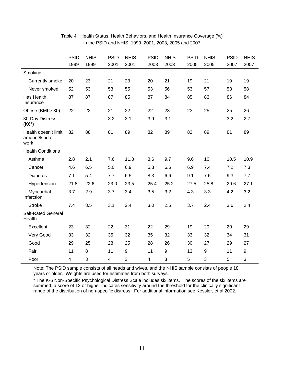|                                                | <b>PSID</b><br>1999 | <b>NHIS</b><br>1999 | <b>PSID</b><br>2001     | <b>NHIS</b><br>2001 | <b>PSID</b><br>2003 | <b>NHIS</b><br>2003 | <b>PSID</b><br>2005 | <b>NHIS</b><br>2005 | <b>PSID</b><br>2007 | <b>NHIS</b><br>2007 |
|------------------------------------------------|---------------------|---------------------|-------------------------|---------------------|---------------------|---------------------|---------------------|---------------------|---------------------|---------------------|
| Smoking                                        |                     |                     |                         |                     |                     |                     |                     |                     |                     |                     |
| <b>Currently smoke</b>                         | 20                  | 23                  | 21                      | 23                  | 20                  | 21                  | 19                  | 21                  | 19                  | 19                  |
| Never smoked                                   | 52                  | 53                  | 53                      | 55                  | 53                  | 56                  | 53                  | 57                  | 53                  | 58                  |
| Has Health<br>Insurance                        | 87                  | 87                  | 87                      | 85                  | 87                  | 84                  | 85                  | 83                  | 86                  | 84                  |
| Obese (BMI > 30)                               | 22                  | 22                  | 21                      | 22                  | 22                  | 23                  | 23                  | 25                  | 25                  | 26                  |
| 30-Day Distress<br>$(K6^*)$                    | --                  | $\overline{a}$      | 3.2                     | 3.1                 | 3.9                 | 3.1                 | --                  | н.                  | 3.2                 | 2.7                 |
| Health doesn't limit<br>amount/kind of<br>work | 82                  | 88                  | 81                      | 89                  | 82                  | 89                  | 82                  | 89                  | 81                  | 89                  |
| <b>Health Conditions</b>                       |                     |                     |                         |                     |                     |                     |                     |                     |                     |                     |
| Asthma                                         | 2.8                 | 2.1                 | 7.6                     | 11.8                | 8.6                 | 9.7                 | 9.6                 | 10                  | 10.5                | 10.9                |
| Cancer                                         | 4.6                 | 6.5                 | 5.0                     | 6.9                 | 5.3                 | 6.6                 | 6.9                 | 7.4                 | 7.2                 | 7.3                 |
| <b>Diabetes</b>                                | 7.1                 | 5.4                 | 7.7                     | 6.5                 | 8.3                 | 6.6                 | 9.1                 | 7.5                 | 9.3                 | 7.7                 |
| Hypertension                                   | 21.8                | 22.6                | 23.0                    | 23.5                | 25.4                | 25.2                | 27.5                | 25.8                | 29.6                | 27.1                |
| Myocardial<br>Infarction                       | 3.7                 | 2.9                 | 3.7                     | 3.4                 | 3.5                 | 3.2                 | 4.3                 | 3.3                 | 4.2                 | 3.2                 |
| <b>Stroke</b>                                  | 7.4                 | 8.5                 | 3.1                     | 2.4                 | 3.0                 | 2.5                 | 3.7                 | 2.4                 | 3.6                 | 2.4                 |
| <b>Self-Rated General</b><br>Health            |                     |                     |                         |                     |                     |                     |                     |                     |                     |                     |
| Excellent                                      | 23                  | 32                  | 22                      | 31                  | 22                  | 29                  | 19                  | 29                  | 20                  | 29                  |
| Very Good                                      | 33                  | 32                  | 35                      | 32                  | 35                  | 32                  | 33                  | 32                  | 34                  | 31                  |
| Good                                           | 29                  | 25                  | 28                      | 25                  | 28                  | 26                  | 30                  | 27                  | 29                  | 27                  |
| Fair                                           | 11                  | 8                   | 11                      | $\boldsymbol{9}$    | 11                  | $\boldsymbol{9}$    | 13                  | $\boldsymbol{9}$    | 11                  | 9                   |
| Poor                                           | $\overline{4}$      | 3                   | $\overline{\mathbf{4}}$ | 3                   | $\overline{4}$      | 3                   | 5                   | 3                   | 5                   | 3                   |

## Table 4. Health Status, Health Behaviors, and Health Insurance Coverage (%) in the PSID and NHIS, 1999, 2001, 2003, 2005 and 2007

Note: The PSID sample consists of all heads and wives, and the NHIS sample consists of people 18 years or older. Weights are used for estimates from both surveys.

\* The K-6 Non-Specific Psychological Distress Scale includes six items. The scores of the six items are summed; a score of 13 or higher indicates sensitivity around the threshold for the clinically significant range of the distribution of non-specific distress. For additional information see Kessler, et al 2002.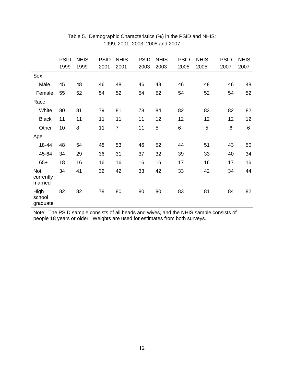|                                    | <b>PSID</b><br>1999 | <b>NHIS</b><br>1999 | <b>PSID</b><br>2001 | <b>NHIS</b><br>2001 | <b>PSID</b><br>2003 | <b>NHIS</b><br>2003 | <b>PSID</b><br>2005 | <b>NHIS</b><br>2005 | <b>PSID</b><br>2007 | <b>NHIS</b><br>2007 |
|------------------------------------|---------------------|---------------------|---------------------|---------------------|---------------------|---------------------|---------------------|---------------------|---------------------|---------------------|
| Sex                                |                     |                     |                     |                     |                     |                     |                     |                     |                     |                     |
| Male                               | 45                  | 48                  | 46                  | 48                  | 46                  | 48                  | 46                  | 48                  | 46                  | 48                  |
| Female                             | 55                  | 52                  | 54                  | 52                  | 54                  | 52                  | 54                  | 52                  | 54                  | 52                  |
| Race                               |                     |                     |                     |                     |                     |                     |                     |                     |                     |                     |
| White                              | 80                  | 81                  | 79                  | 81                  | 78                  | 84                  | 82                  | 83                  | 82                  | 82                  |
| <b>Black</b>                       | 11                  | 11                  | 11                  | 11                  | 11                  | 12                  | 12                  | 12                  | 12                  | 12                  |
| Other                              | 10                  | 8                   | 11                  | $\overline{7}$      | 11                  | 5                   | 6                   | 5                   | 6                   | 6                   |
| Age                                |                     |                     |                     |                     |                     |                     |                     |                     |                     |                     |
| 18-44                              | 48                  | 54                  | 48                  | 53                  | 46                  | 52                  | 44                  | 51                  | 43                  | 50                  |
| 45-64                              | 34                  | 29                  | 36                  | 31                  | 37                  | 32                  | 39                  | 33                  | 40                  | 34                  |
| $65+$                              | 18                  | 16                  | 16                  | 16                  | 16                  | 16                  | 17                  | 16                  | 17                  | 16                  |
| <b>Not</b><br>currently<br>married | 34                  | 41                  | 32                  | 42                  | 33                  | 42                  | 33                  | 42                  | 34                  | 44                  |
| High<br>school<br>graduate         | 82                  | 82                  | 78                  | 80                  | 80                  | 80                  | 83                  | 81                  | 84                  | 82                  |

## Table 5. Demographic Characteristics (%) in the PSID and NHIS: 1999, 2001, 2003, 2005 and 2007

Note: The PSID sample consists of all heads and wives, and the NHIS sample consists of people 18 years or older. Weights are used for estimates from both surveys.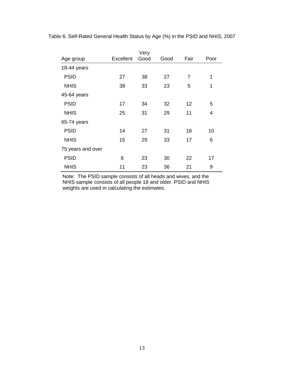|                   | Very      |      |      |                |      |  |  |  |  |  |
|-------------------|-----------|------|------|----------------|------|--|--|--|--|--|
| Age group         | Excellent | Good | Good | Fair           | Poor |  |  |  |  |  |
| 18-44 years       |           |      |      |                |      |  |  |  |  |  |
| <b>PSID</b>       | 27        | 38   | 27   | $\overline{7}$ | 1    |  |  |  |  |  |
| <b>NHIS</b>       | 38        | 33   | 23   | 5              | 1    |  |  |  |  |  |
| 45-64 years       |           |      |      |                |      |  |  |  |  |  |
| <b>PSID</b>       | 17        | 34   | 32   | 12             | 5    |  |  |  |  |  |
| <b>NHIS</b>       | 25        | 31   | 29   | 11             | 4    |  |  |  |  |  |
| 65-74 years       |           |      |      |                |      |  |  |  |  |  |
| <b>PSID</b>       | 14        | 27   | 31   | 18             | 10   |  |  |  |  |  |
| <b>NHIS</b>       | 15        | 29   | 33   | 17             | 6    |  |  |  |  |  |
| 75 years and over |           |      |      |                |      |  |  |  |  |  |
| <b>PSID</b>       | 8         | 23   | 30   | 22             | 17   |  |  |  |  |  |
| <b>NHIS</b>       | 11        | 23   | 36   | 21             | 9    |  |  |  |  |  |

Table 6. Self-Rated General Health Status by Age (%) in the PSID and NHIS, 2007

Note: The PSID sample consists of all heads and wives, and the NHIS sample consists of all people 18 and older. PSID and NHIS weights are used in calculating the estimates.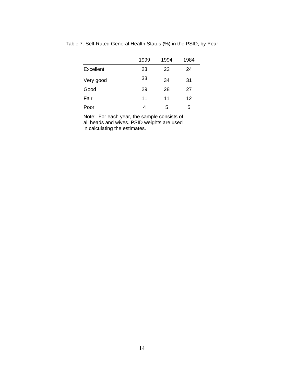|           | 1999 | 1994 | 1984 |
|-----------|------|------|------|
| Excellent | 23   | 22   | 24   |
| Very good | 33   | 34   | 31   |
| Good      | 29   | 28   | 27   |
| Fair      | 11   | 11   | 12   |
| Poor      | 4    | 5    | 5    |

Table 7. Self-Rated General Health Status (%) in the PSID, by Year

Note: For each year, the sample consists of all heads and wives. PSID weights are used in calculating the estimates.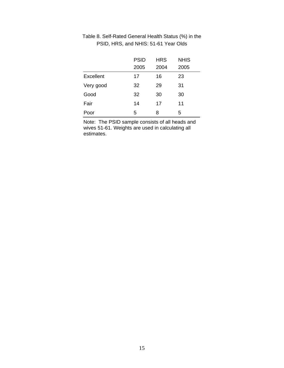|           | <b>PSID</b> | <b>HRS</b> | <b>NHIS</b> |
|-----------|-------------|------------|-------------|
|           | 2005        | 2004       | 2005        |
| Excellent | 17          | 16         | 23          |
| Very good | 32          | 29         | 31          |
| Good      | 32          | 30         | 30          |
| Fair      | 14          | 17         | 11          |
| Poor      | 5           | 8          | 5           |

## Table 8. Self-Rated General Health Status (%) in the PSID, HRS, and NHIS: 51-61 Year Olds

Note: The PSID sample consists of all heads and wives 51-61. Weights are used in calculating all estimates.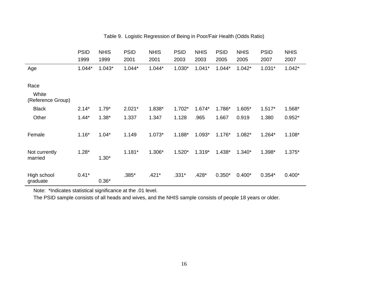|                            | <b>PSID</b><br>1999 | <b>NHIS</b><br>1999 | <b>PSID</b><br>2001 | <b>NHIS</b><br>2001 | <b>PSID</b><br>2003 | <b>NHIS</b><br>2003 | <b>PSID</b><br>2005 | <b>NHIS</b><br>2005 | <b>PSID</b><br>2007 | <b>NHIS</b><br>2007 |
|----------------------------|---------------------|---------------------|---------------------|---------------------|---------------------|---------------------|---------------------|---------------------|---------------------|---------------------|
| Age                        | $1.044*$            | $1.043*$            | $1.044*$            | $1.044*$            | 1.030*              | $1.041*$            | $1.044*$            | $1.042*$            | $1.031*$            | $1.042*$            |
| Race                       |                     |                     |                     |                     |                     |                     |                     |                     |                     |                     |
| White<br>(Reference Group) |                     |                     |                     |                     |                     |                     |                     |                     |                     |                     |
| <b>Black</b>               | $2.14*$             | $1.79*$             | $2.021*$            | 1.838*              | 1.702*              | 1.674*              | 1.786*              | 1.605*              | $1.517*$            | 1.568*              |
| Other                      | $1.44*$             | $1.38*$             | 1.337               | 1.347               | 1.128               | .965                | 1.667               | 0.919               | 1.380               | $0.952*$            |
| Female                     | $1.16*$             | $1.04*$             | 1.149               | $1.073*$            | 1.188*              | $1.093*$            | $1.176*$            | 1.082*              | $1.264*$            | $1.108*$            |
| Not currently<br>married   | $1.28*$             | $1.30*$             | $1.181*$            | 1.306*              | $1.520*$            | $1.319*$            | 1.438*              | $1.340*$            | 1.398*              | $1.375*$            |
| High school<br>graduate    | $0.41*$             | $0.36*$             | .385*               | $.421*$             | $.331*$             | $.428*$             | $0.350*$            | $0.400*$            | $0.354*$            | $0.400*$            |

## Table 9. Logistic Regression of Being in Poor/Fair Health (Odds Ratio)

Note: \*Indicates statistical significance at the .01 level.

The PSID sample consists of all heads and wives, and the NHIS sample consists of people 18 years or older.